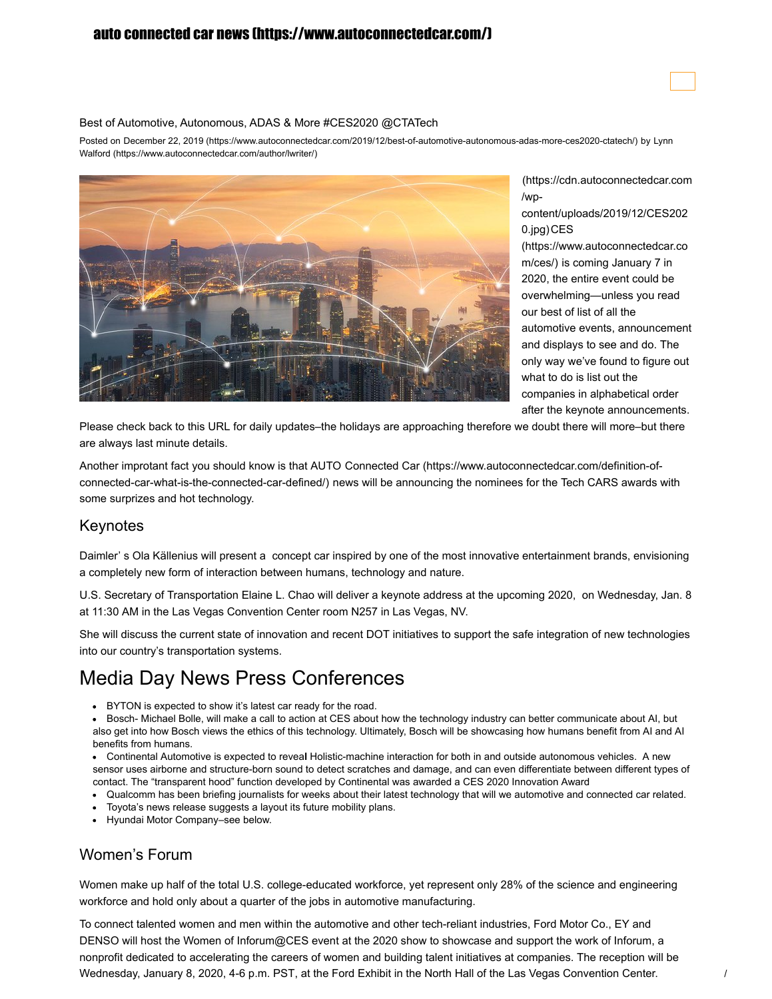### [auto connected car news \(https://www.autoconnectedcar.com/\)](https://www.autoconnectedcar.com/)



Posted on December 22, 2019 [\(https://www.autoconnectedcar.com/2019/12/best-of-automotive-autonomous-adas-more-ces2020-ctatech/\)](https://www.autoconnectedcar.com/author/lwriter/) by Lynn Walford (https://www.autoconnectedcar.com/author/lwriter/)



[\(https://cdn.autoconnectedcar.com](https://cdn.autoconnectedcar.com/wp-content/uploads/2019/12/CES2020.jpg) /wp-

content/uploads/2019/12/CES202 0.jpg) CES

[\(https://www.autoconnectedcar.co](https://www.autoconnectedcar.com/ces/) m/ces/) is coming January 7 in 2020, the entire event could be overwhelming—unless you read our best of list of all the automotive events, announcement and displays to see and do. The only way we've found to figure out what to do is list out the companies in alphabetical order after the keynote announcements.

Please check back to this URL for daily updates–the holidays are approaching therefore we doubt there will more–but there are always last minute details.

Another improtant fact you should know is that AUTO Connected Car (https://www.autoconnectedcar.com/definition-of[connected-car-what-is-the-connected-car-defined/\)](https://www.autoconnectedcar.com/definition-of-connected-car-what-is-the-connected-car-defined/) news will be announcing the nominees for the Tech CARS awards with some surprizes and hot technology.

#### Keynotes

Daimler' s Ola Källenius will present a concept car inspired by one of the most innovative entertainment brands, envisioning a completely new form of interaction between humans, technology and nature.

U.S. Secretary of Transportation Elaine L. Chao will deliver a keynote address at the upcoming 2020, on Wednesday, Jan. 8 at 11:30 AM in the Las Vegas Convention Center room N257 in Las Vegas, NV.

She will discuss the current state of innovation and recent DOT initiatives to support the safe integration of new technologies into our country's transportation systems.

## Media Day News Press Conferences

BYTON is expected to show it's latest car ready for the road.  $\bullet$ 

Bosch- Michael Bolle, will make a call to action at CES about how the technology industry can better communicate about AI, but also get into how Bosch views the ethics of this technology. Ultimately, Bosch will be showcasing how humans benefit from AI and AI benefits from humans.

Continental Automotive is expected to revea**l** Holistic-machine interaction for both in and outside autonomous vehicles. A new sensor uses airborne and structure-born sound to detect scratches and damage, and can even differentiate between different types of contact. The "transparent hood" function developed by Continental was awarded a CES 2020 Innovation Award

- Qualcomm has been briefing journalists for weeks about their latest technology that will we automotive and connected car related.
- Toyota's news release suggests a layout its future mobility plans.
- Hyundai Motor Company–see below.

## Women's Forum

Women make up half of the total U.S. college-educated workforce, yet represent only 28% of the science and engineering workforce and hold only about a quarter of the jobs in automotive manufacturing.

To connect talented women and men within the automotive and other tech-reliant industries, Ford Motor Co., EY and DENSO will host the Women of Inforum@CES event at the 2020 show to showcase and support the work of Inforum, a nonprofit dedicated to accelerating the careers of women and building talent initiatives at companies. The reception will be Wednesday, January 8, 2020, 4-6 p.m. PST, at the Ford Exhibit in the North Hall of the Las Vegas Convention Center.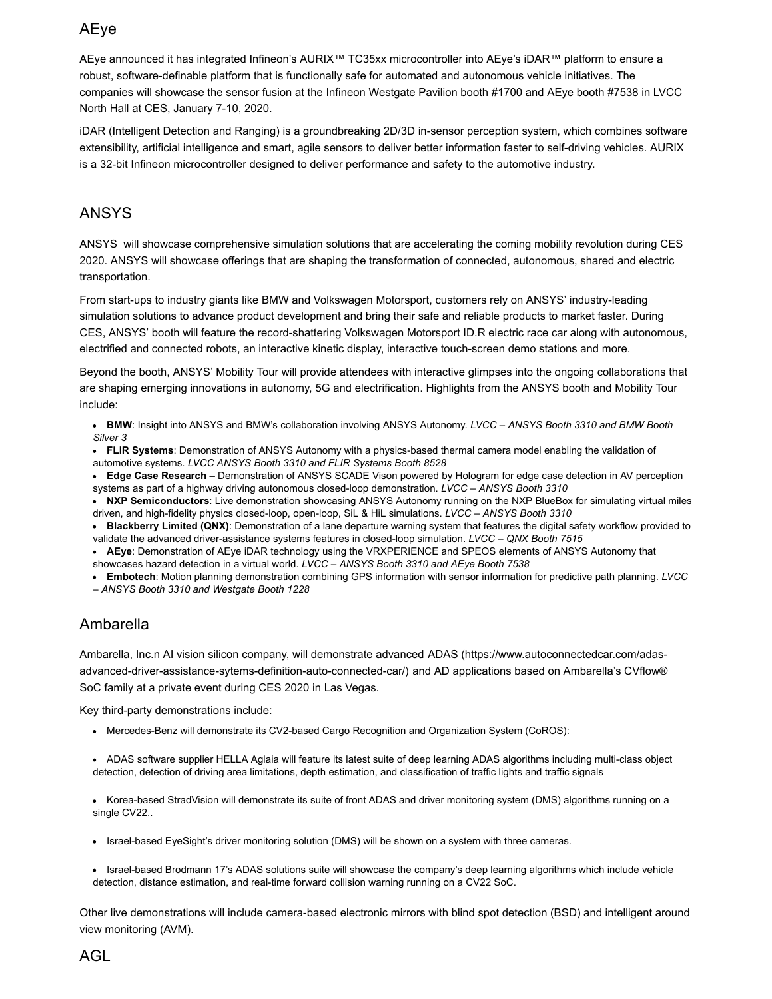## AEye

AEye announced it has integrated Infineon's AURIX™ TC35xx microcontroller into AEye's iDAR™ platform to ensure a robust, software-definable platform that is functionally safe for automated and autonomous vehicle initiatives. The companies will showcase the sensor fusion at the Infineon Westgate Pavilion booth #1700 and AEye booth #7538 in LVCC North Hall at CES, January 7-10, 2020.

iDAR (Intelligent Detection and Ranging) is a groundbreaking 2D/3D in-sensor perception system, which combines software extensibility, artificial intelligence and smart, agile sensors to deliver better information faster to self-driving vehicles. AURIX is a 32-bit Infineon microcontroller designed to deliver performance and safety to the automotive industry.

## ANSYS

ANSYS will showcase comprehensive simulation solutions that are accelerating the coming mobility revolution during CES 2020. ANSYS will showcase offerings that are shaping the transformation of connected, autonomous, shared and electric transportation.

From start-ups to industry giants like BMW and Volkswagen Motorsport, customers rely on ANSYS' industry-leading simulation solutions to advance product development and bring their safe and reliable products to market faster. During CES, ANSYS' booth will feature the record-shattering Volkswagen Motorsport ID.R electric race car along with autonomous, electrified and connected robots, an interactive kinetic display, interactive touch-screen demo stations and more.

Beyond the booth, ANSYS' Mobility Tour will provide attendees with interactive glimpses into the ongoing collaborations that are shaping emerging innovations in autonomy, 5G and electrification. Highlights from the ANSYS booth and Mobility Tour include:

**BMW**: Insight into ANSYS and BMW's collaboration involving ANSYS Autonomy. *LVCC – ANSYS Booth 3310 and BMW Booth Silver 3*

**FLIR Systems**: Demonstration of ANSYS Autonomy with a physics-based thermal camera model enabling the validation of automotive systems. *LVCC ANSYS Booth 3310 and FLIR Systems Booth 8528*

**Edge Case Research –** Demonstration of ANSYS SCADE Vison powered by Hologram for edge case detection in AV perception systems as part of a highway driving autonomous closed-loop demonstration. *LVCC – ANSYS Booth 3310*

- **NXP Semiconductors**: Live demonstration showcasing ANSYS Autonomy running on the NXP BlueBox for simulating virtual miles driven, and high-fidelity physics closed-loop, open-loop, SiL & HiL simulations. *LVCC – ANSYS Booth 3310*
- **Blackberry Limited (QNX)**: Demonstration of a lane departure warning system that features the digital safety workflow provided to validate the advanced driver-assistance systems features in closed-loop simulation. *LVCC – QNX Booth 7515*

**AEye**: Demonstration of AEye iDAR technology using the VRXPERIENCE and SPEOS elements of ANSYS Autonomy that showcases hazard detection in a virtual world. *LVCC – ANSYS Booth 3310 and AEye Booth 7538* 

**Embotech**: Motion planning demonstration combining GPS information with sensor information for predictive path planning. *LVCC – ANSYS Booth 3310 and Westgate Booth 1228*

## Ambarella

Ambarella, Inc.n AI vision silicon company, will demonstrate advanced ADAS (https://www.autoconnectedcar.com/adas[advanced-driver-assistance-sytems-definition-auto-connected-car/\)](https://www.autoconnectedcar.com/adas-advanced-driver-assistance-sytems-definition-auto-connected-car/) and AD applications based on Ambarella's CVflow® SoC family at a private event during CES 2020 in Las Vegas.

Key third-party demonstrations include:

- Mercedes-Benz will demonstrate its CV2-based Cargo Recognition and Organization System (CoROS):
- ADAS software supplier HELLA Aglaia will feature its latest suite of deep learning ADAS algorithms including multi-class object detection, detection of driving area limitations, depth estimation, and classification of traffic lights and traffic signals
- Korea-based StradVision will demonstrate its suite of front ADAS and driver monitoring system (DMS) algorithms running on a single CV22..
- Israel-based EyeSight's driver monitoring solution (DMS) will be shown on a system with three cameras.
- Israel-based Brodmann 17's ADAS solutions suite will showcase the company's deep learning algorithms which include vehicle detection, distance estimation, and real-time forward collision warning running on a CV22 SoC.

Other live demonstrations will include camera-based electronic mirrors with blind spot detection (BSD) and intelligent around view monitoring (AVM).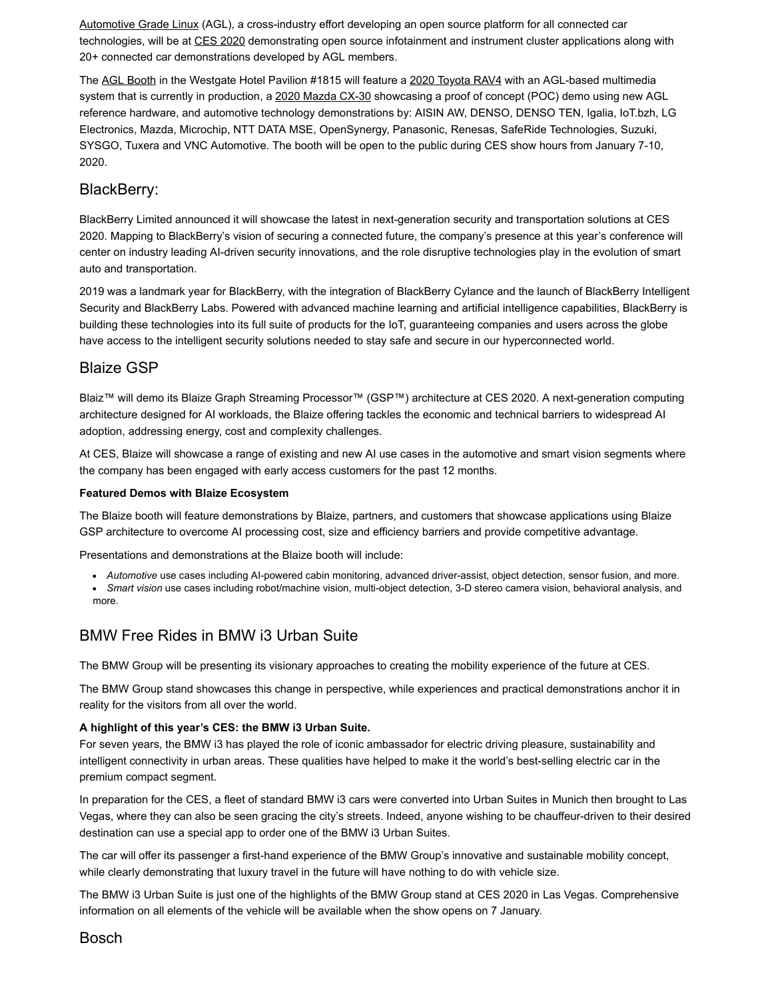Automotive Grade Linux (AGL), a cross-industry effort developing an open source platform for all connected car technologies, will be at CES 2020 demonstrating open source infotainment and instrument cluster applications along with 20+ connected car demonstrations developed by AGL members.

The AGL Booth in the Westgate Hotel Pavilion #1815 will feature a 2020 Toyota RAV4 with an AGL-based multimedia system that is currently in production, a 2020 Mazda CX-30 showcasing a proof of concept (POC) demo using new AGL reference hardware, and automotive technology demonstrations by: AISIN AW, DENSO, DENSO TEN, Igalia, IoT.bzh, LG Electronics, Mazda, Microchip, NTT DATA MSE, OpenSynergy, Panasonic, Renesas, SafeRide Technologies, Suzuki, SYSGO, Tuxera and VNC Automotive. The booth will be open to the public during CES show hours from January 7-10, 2020.

### BlackBerry:

BlackBerry Limited announced it will showcase the latest in next-generation security and transportation solutions at CES 2020. Mapping to BlackBerry's vision of securing a connected future, the company's presence at this year's conference will center on industry leading AI-driven security innovations, and the role disruptive technologies play in the evolution of smart auto and transportation.

2019 was a landmark year for BlackBerry, with the integration of BlackBerry Cylance and the launch of BlackBerry Intelligent Security and BlackBerry Labs. Powered with advanced machine learning and artificial intelligence capabilities, BlackBerry is building these technologies into its full suite of products for the IoT, guaranteeing companies and users across the globe have access to the intelligent security solutions needed to stay safe and secure in our hyperconnected world.

### Blaize GSP

Blaiz™ will demo its Blaize Graph Streaming Processor™ (GSP™) architecture at CES 2020. A next-generation computing architecture designed for AI workloads, the Blaize offering tackles the economic and technical barriers to widespread AI adoption, addressing energy, cost and complexity challenges.

At CES, Blaize will showcase a range of existing and new AI use cases in the automotive and smart vision segments where the company has been engaged with early access customers for the past 12 months.

#### **Featured Demos with Blaize Ecosystem**

The Blaize booth will feature demonstrations by Blaize, partners, and customers that showcase applications using Blaize GSP architecture to overcome AI processing cost, size and efficiency barriers and provide competitive advantage.

Presentations and demonstrations at the Blaize booth will include:

- *Automotive* use cases including AI-powered cabin monitoring, advanced driver-assist, object detection, sensor fusion, and more.
- *Smart vision* use cases including robot/machine vision, multi-object detection, 3-D stereo camera vision, behavioral analysis, and more.

## BMW Free Rides in BMW i3 Urban Suite

The BMW Group will be presenting its visionary approaches to creating the mobility experience of the future at CES.

The BMW Group stand showcases this change in perspective, while experiences and practical demonstrations anchor it in reality for the visitors from all over the world.

#### **A highlight of this year's CES: the BMW i3 Urban Suite.**

For seven years, the BMW i3 has played the role of iconic ambassador for electric driving pleasure, sustainability and intelligent connectivity in urban areas. These qualities have helped to make it the world's best-selling electric car in the premium compact segment.

In preparation for the CES, a fleet of standard BMW i3 cars were converted into Urban Suites in Munich then brought to Las Vegas, where they can also be seen gracing the city's streets. Indeed, anyone wishing to be chauffeur-driven to their desired destination can use a special app to order one of the BMW i3 Urban Suites.

The car will offer its passenger a first-hand experience of the BMW Group's innovative and sustainable mobility concept, while clearly demonstrating that luxury travel in the future will have nothing to do with vehicle size.

The BMW i3 Urban Suite is just one of the highlights of the BMW Group stand at CES 2020 in Las Vegas. Comprehensive information on all elements of the vehicle will be available when the show opens on 7 January.

Bosch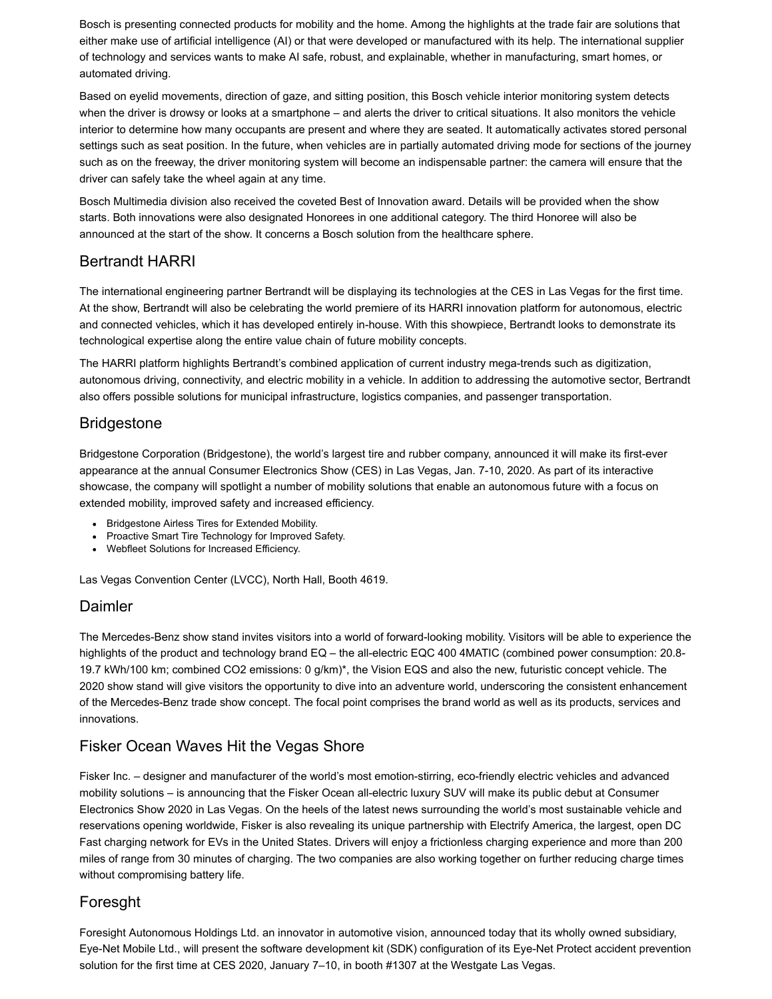Bosch is presenting connected products for mobility and the home. Among the highlights at the trade fair are solutions that either make use of artificial intelligence (AI) or that were developed or manufactured with its help. The international supplier of technology and services wants to make AI safe, robust, and explainable, whether in manufacturing, smart homes, or automated driving.

Based on eyelid movements, direction of gaze, and sitting position, this Bosch vehicle interior monitoring system detects when the driver is drowsy or looks at a smartphone – and alerts the driver to critical situations. It also monitors the vehicle interior to determine how many occupants are present and where they are seated. It automatically activates stored personal settings such as seat position. In the future, when vehicles are in partially automated driving mode for sections of the journey such as on the freeway, the driver monitoring system will become an indispensable partner: the camera will ensure that the driver can safely take the wheel again at any time.

Bosch Multimedia division also received the coveted Best of Innovation award. Details will be provided when the show starts. Both innovations were also designated Honorees in one additional category. The third Honoree will also be announced at the start of the show. It concerns a Bosch solution from the healthcare sphere.

### Bertrandt HARRI

The international engineering partner Bertrandt will be displaying its technologies at the CES in Las Vegas for the first time. At the show, Bertrandt will also be celebrating the world premiere of its HARRI innovation platform for autonomous, electric and connected vehicles, which it has developed entirely in-house. With this showpiece, Bertrandt looks to demonstrate its technological expertise along the entire value chain of future mobility concepts.

The HARRI platform highlights Bertrandt's combined application of current industry mega-trends such as digitization, autonomous driving, connectivity, and electric mobility in a vehicle. In addition to addressing the automotive sector, Bertrandt also offers possible solutions for municipal infrastructure, logistics companies, and passenger transportation.

## Bridgestone

Bridgestone Corporation (Bridgestone), the world's largest tire and rubber company, announced it will make its first-ever appearance at the annual Consumer Electronics Show (CES) in Las Vegas, Jan. 7-10, 2020. As part of its interactive showcase, the company will spotlight a number of mobility solutions that enable an autonomous future with a focus on extended mobility, improved safety and increased efficiency.

- Bridgestone Airless Tires for Extended Mobility.
- Proactive Smart Tire Technology for Improved Safety.
- Webfleet Solutions for Increased Efficiency.

Las Vegas Convention Center (LVCC), North Hall, Booth 4619.

### Daimler

The Mercedes-Benz show stand invites visitors into a world of forward-looking mobility. Visitors will be able to experience the highlights of the product and technology brand EQ – the all-electric EQC 400 4MATIC (combined power consumption: 20.8- 19.7 kWh/100 km; combined CO2 emissions: 0 g/km)\*, the Vision EQS and also the new, futuristic concept vehicle. The 2020 show stand will give visitors the opportunity to dive into an adventure world, underscoring the consistent enhancement of the Mercedes-Benz trade show concept. The focal point comprises the brand world as well as its products, services and innovations.

## Fisker Ocean Waves Hit the Vegas Shore

Fisker Inc. – designer and manufacturer of the world's most emotion-stirring, eco-friendly electric vehicles and advanced mobility solutions – is announcing that the Fisker Ocean all-electric luxury SUV will make its public debut at Consumer Electronics Show 2020 in Las Vegas. On the heels of the latest news surrounding the world's most sustainable vehicle and reservations opening worldwide, Fisker is also revealing its unique partnership with Electrify America, the largest, open DC Fast charging network for EVs in the United States. Drivers will enjoy a frictionless charging experience and more than 200 miles of range from 30 minutes of charging. The two companies are also working together on further reducing charge times without compromising battery life.

### Foresght

Foresight Autonomous Holdings Ltd. an innovator in automotive vision, announced today that its wholly owned subsidiary, Eye-Net Mobile Ltd., will present the software development kit (SDK) configuration of its Eye-Net Protect accident prevention solution for the first time at CES 2020, January 7–10, in booth #1307 at the Westgate Las Vegas.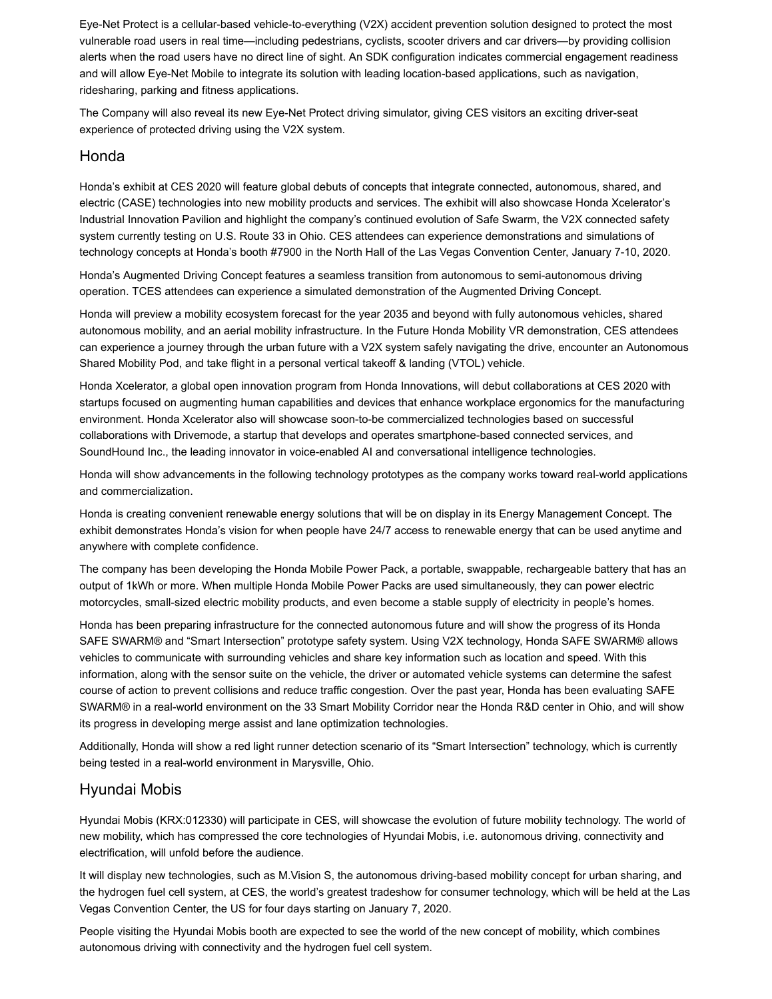Eye-Net Protect is a cellular-based vehicle-to-everything (V2X) accident prevention solution designed to protect the most vulnerable road users in real time—including pedestrians, cyclists, scooter drivers and car drivers—by providing collision alerts when the road users have no direct line of sight. An SDK configuration indicates commercial engagement readiness and will allow Eye-Net Mobile to integrate its solution with leading location-based applications, such as navigation, ridesharing, parking and fitness applications.

The Company will also reveal its new Eye-Net Protect driving simulator, giving CES visitors an exciting driver-seat experience of protected driving using the V2X system.

#### Honda

Honda's exhibit at CES 2020 will feature global debuts of concepts that integrate connected, autonomous, shared, and electric (CASE) technologies into new mobility products and services. The exhibit will also showcase Honda Xcelerator's Industrial Innovation Pavilion and highlight the company's continued evolution of Safe Swarm, the V2X connected safety system currently testing on U.S. Route 33 in Ohio. CES attendees can experience demonstrations and simulations of technology concepts at Honda's booth #7900 in the North Hall of the Las Vegas Convention Center, January 7-10, 2020.

Honda's Augmented Driving Concept features a seamless transition from autonomous to semi-autonomous driving operation. TCES attendees can experience a simulated demonstration of the Augmented Driving Concept.

Honda will preview a mobility ecosystem forecast for the year 2035 and beyond with fully autonomous vehicles, shared autonomous mobility, and an aerial mobility infrastructure. In the Future Honda Mobility VR demonstration, CES attendees can experience a journey through the urban future with a V2X system safely navigating the drive, encounter an Autonomous Shared Mobility Pod, and take flight in a personal vertical takeoff & landing (VTOL) vehicle.

Honda Xcelerator, a global open innovation program from Honda Innovations, will debut collaborations at CES 2020 with startups focused on augmenting human capabilities and devices that enhance workplace ergonomics for the manufacturing environment. Honda Xcelerator also will showcase soon-to-be commercialized technologies based on successful collaborations with Drivemode, a startup that develops and operates smartphone-based connected services, and SoundHound Inc., the leading innovator in voice-enabled AI and conversational intelligence technologies.

Honda will show advancements in the following technology prototypes as the company works toward real-world applications and commercialization.

Honda is creating convenient renewable energy solutions that will be on display in its Energy Management Concept. The exhibit demonstrates Honda's vision for when people have 24/7 access to renewable energy that can be used anytime and anywhere with complete confidence.

The company has been developing the Honda Mobile Power Pack, a portable, swappable, rechargeable battery that has an output of 1kWh or more. When multiple Honda Mobile Power Packs are used simultaneously, they can power electric motorcycles, small-sized electric mobility products, and even become a stable supply of electricity in people's homes.

Honda has been preparing infrastructure for the connected autonomous future and will show the progress of its Honda SAFE SWARM® and "Smart Intersection" prototype safety system. Using V2X technology, Honda SAFE SWARM® allows vehicles to communicate with surrounding vehicles and share key information such as location and speed. With this information, along with the sensor suite on the vehicle, the driver or automated vehicle systems can determine the safest course of action to prevent collisions and reduce traffic congestion. Over the past year, Honda has been evaluating SAFE SWARM® in a real-world environment on the 33 Smart Mobility Corridor near the Honda R&D center in Ohio, and will show its progress in developing merge assist and lane optimization technologies.

Additionally, Honda will show a red light runner detection scenario of its "Smart Intersection" technology, which is currently being tested in a real-world environment in Marysville, Ohio.

#### Hyundai Mobis

Hyundai Mobis (KRX:012330) will participate in CES, will showcase the evolution of future mobility technology. The world of new mobility, which has compressed the core technologies of Hyundai Mobis, i.e. autonomous driving, connectivity and electrification, will unfold before the audience.

It will display new technologies, such as M.Vision S, the autonomous driving-based mobility concept for urban sharing, and the hydrogen fuel cell system, at CES, the world's greatest tradeshow for consumer technology, which will be held at the Las Vegas Convention Center, the US for four days starting on January 7, 2020.

People visiting the Hyundai Mobis booth are expected to see the world of the new concept of mobility, which combines autonomous driving with connectivity and the hydrogen fuel cell system.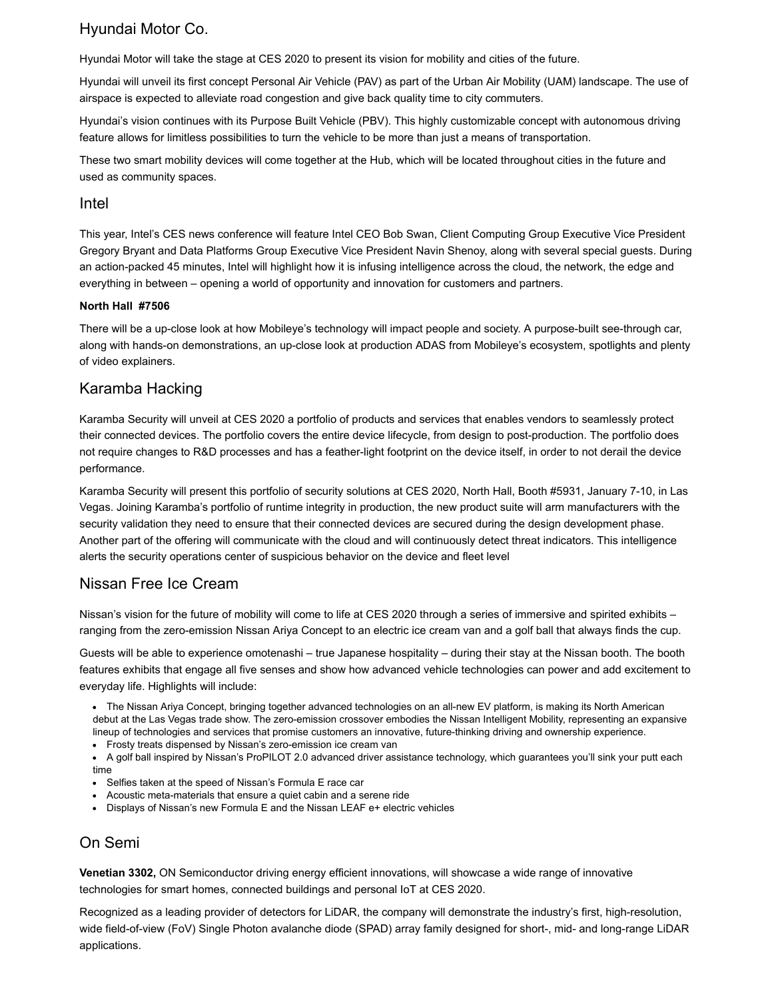## Hyundai Motor Co.

Hyundai Motor will take the stage at CES 2020 to present its vision for mobility and cities of the future.

Hyundai will unveil its first concept Personal Air Vehicle (PAV) as part of the Urban Air Mobility (UAM) landscape. The use of airspace is expected to alleviate road congestion and give back quality time to city commuters.

Hyundai's vision continues with its Purpose Built Vehicle (PBV). This highly customizable concept with autonomous driving feature allows for limitless possibilities to turn the vehicle to be more than just a means of transportation.

These two smart mobility devices will come together at the Hub, which will be located throughout cities in the future and used as community spaces.

#### Intel

This year, Intel's CES news conference will feature Intel CEO Bob Swan, Client Computing Group Executive Vice President Gregory Bryant and Data Platforms Group Executive Vice President Navin Shenoy, along with several special guests. During an action-packed 45 minutes, Intel will highlight how it is infusing intelligence across the cloud, the network, the edge and everything in between – opening a world of opportunity and innovation for customers and partners.

#### **North Hall #7506**

There will be a up-close look at how Mobileye's technology will impact people and society. A purpose-built see-through car, along with hands-on demonstrations, an up-close look at production ADAS from Mobileye's ecosystem, spotlights and plenty of video explainers.

## Karamba Hacking

Karamba Security will unveil at CES 2020 a portfolio of products and services that enables vendors to seamlessly protect their connected devices. The portfolio covers the entire device lifecycle, from design to post-production. The portfolio does not require changes to R&D processes and has a feather-light footprint on the device itself, in order to not derail the device performance.

Karamba Security will present this portfolio of security solutions at CES 2020, North Hall, Booth #5931, January 7-10, in Las Vegas. Joining Karamba's portfolio of runtime integrity in production, the new product suite will arm manufacturers with the security validation they need to ensure that their connected devices are secured during the design development phase. Another part of the offering will communicate with the cloud and will continuously detect threat indicators. This intelligence alerts the security operations center of suspicious behavior on the device and fleet level

## Nissan Free Ice Cream

Nissan's vision for the future of mobility will come to life at CES 2020 through a series of immersive and spirited exhibits – ranging from the zero-emission Nissan Ariya Concept to an electric ice cream van and a golf ball that always finds the cup.

Guests will be able to experience omotenashi – true Japanese hospitality – during their stay at the Nissan booth. The booth features exhibits that engage all five senses and show how advanced vehicle technologies can power and add excitement to everyday life. Highlights will include:

The Nissan Ariya Concept, bringing together advanced technologies on an all-new EV platform, is making its North American debut at the Las Vegas trade show. The zero-emission crossover embodies the Nissan Intelligent Mobility, representing an expansive lineup of technologies and services that promise customers an innovative, future-thinking driving and ownership experience.

Frosty treats dispensed by Nissan's zero-emission ice cream van

A golf ball inspired by Nissan's ProPILOT 2.0 advanced driver assistance technology, which guarantees you'll sink your putt each time

- Selfies taken at the speed of Nissan's Formula E race car
- Acoustic meta-materials that ensure a quiet cabin and a serene ride
- Displays of Nissan's new Formula E and the Nissan LEAF e+ electric vehicles

## On Semi

**Venetian 3302,** ON Semiconductor driving energy efficient innovations, will showcase a wide range of innovative technologies for smart homes, connected buildings and personal IoT at CES 2020.

Recognized as a leading provider of detectors for LiDAR, the company will demonstrate the industry's first, high-resolution, wide field-of-view (FoV) Single Photon avalanche diode (SPAD) array family designed for short-, mid- and long-range LiDAR applications.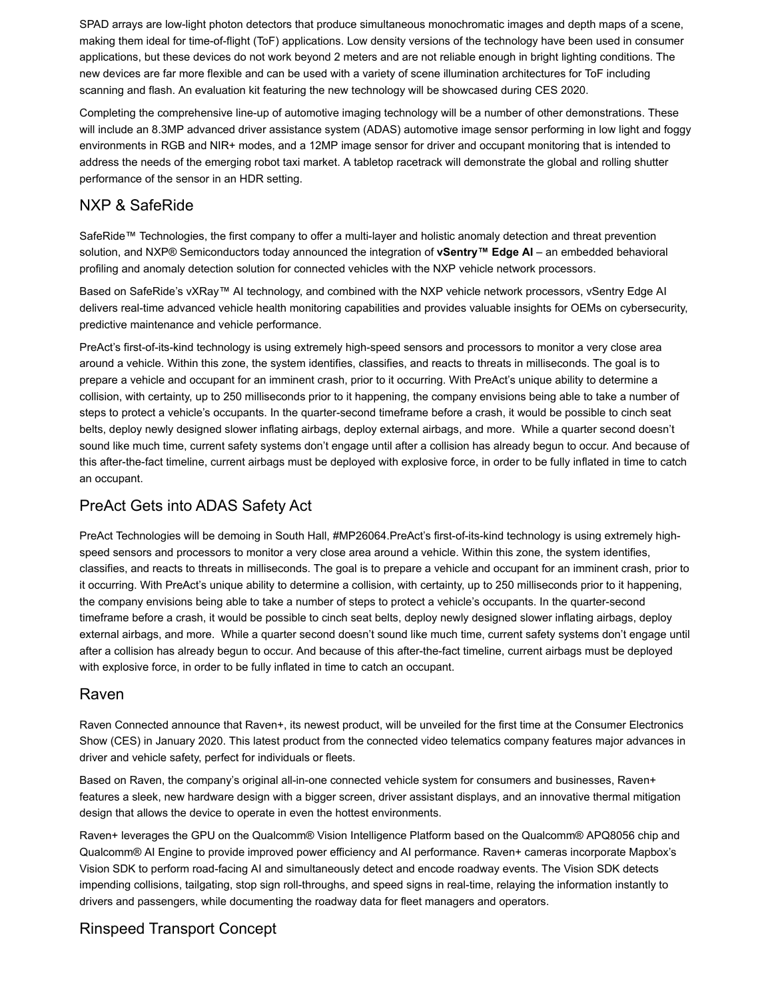SPAD arrays are low-light photon detectors that produce simultaneous monochromatic images and depth maps of a scene, making them ideal for time-of-flight (ToF) applications. Low density versions of the technology have been used in consumer applications, but these devices do not work beyond 2 meters and are not reliable enough in bright lighting conditions. The new devices are far more flexible and can be used with a variety of scene illumination architectures for ToF including scanning and flash. An evaluation kit featuring the new technology will be showcased during CES 2020.

Completing the comprehensive line-up of automotive imaging technology will be a number of other demonstrations. These will include an 8.3MP advanced driver assistance system (ADAS) automotive image sensor performing in low light and foggy environments in RGB and NIR+ modes, and a 12MP image sensor for driver and occupant monitoring that is intended to address the needs of the emerging robot taxi market. A tabletop racetrack will demonstrate the global and rolling shutter performance of the sensor in an HDR setting.

## NXP & SafeRide

SafeRide™ Technologies, the first company to offer a multi-layer and holistic anomaly detection and threat prevention solution, and NXP® Semiconductors today announced the integration of **vSentry™ Edge AI** – an embedded behavioral profiling and anomaly detection solution for connected vehicles with the NXP vehicle network processors.

Based on SafeRide's vXRay™ AI technology, and combined with the NXP vehicle network processors, vSentry Edge AI delivers real-time advanced vehicle health monitoring capabilities and provides valuable insights for OEMs on cybersecurity, predictive maintenance and vehicle performance.

PreAct's first-of-its-kind technology is using extremely high-speed sensors and processors to monitor a very close area around a vehicle. Within this zone, the system identifies, classifies, and reacts to threats in milliseconds. The goal is to prepare a vehicle and occupant for an imminent crash, prior to it occurring. With PreAct's unique ability to determine a collision, with certainty, up to 250 milliseconds prior to it happening, the company envisions being able to take a number of steps to protect a vehicle's occupants. In the quarter-second timeframe before a crash, it would be possible to cinch seat belts, deploy newly designed slower inflating airbags, deploy external airbags, and more. While a quarter second doesn't sound like much time, current safety systems don't engage until after a collision has already begun to occur. And because of this after-the-fact timeline, current airbags must be deployed with explosive force, in order to be fully inflated in time to catch an occupant.

## PreAct Gets into ADAS Safety Act

PreAct Technologies will be demoing in South Hall, #MP26064.PreAct's first-of-its-kind technology is using extremely highspeed sensors and processors to monitor a very close area around a vehicle. Within this zone, the system identifies, classifies, and reacts to threats in milliseconds. The goal is to prepare a vehicle and occupant for an imminent crash, prior to it occurring. With PreAct's unique ability to determine a collision, with certainty, up to 250 milliseconds prior to it happening, the company envisions being able to take a number of steps to protect a vehicle's occupants. In the quarter-second timeframe before a crash, it would be possible to cinch seat belts, deploy newly designed slower inflating airbags, deploy external airbags, and more. While a quarter second doesn't sound like much time, current safety systems don't engage until after a collision has already begun to occur. And because of this after-the-fact timeline, current airbags must be deployed with explosive force, in order to be fully inflated in time to catch an occupant.

### Raven

Raven Connected announce that Raven+, its newest product, will be unveiled for the first time at the Consumer Electronics Show (CES) in January 2020. This latest product from the connected video telematics company features major advances in driver and vehicle safety, perfect for individuals or fleets.

Based on Raven, the company's original all-in-one connected vehicle system for consumers and businesses, Raven+ features a sleek, new hardware design with a bigger screen, driver assistant displays, and an innovative thermal mitigation design that allows the device to operate in even the hottest environments.

Raven+ leverages the GPU on the Qualcomm® Vision Intelligence Platform based on the Qualcomm® APQ8056 chip and Qualcomm® AI Engine to provide improved power efficiency and AI performance. Raven+ cameras incorporate Mapbox's Vision SDK to perform road-facing AI and simultaneously detect and encode roadway events. The Vision SDK detects impending collisions, tailgating, stop sign roll-throughs, and speed signs in real-time, relaying the information instantly to drivers and passengers, while documenting the roadway data for fleet managers and operators.

## Rinspeed Transport Concept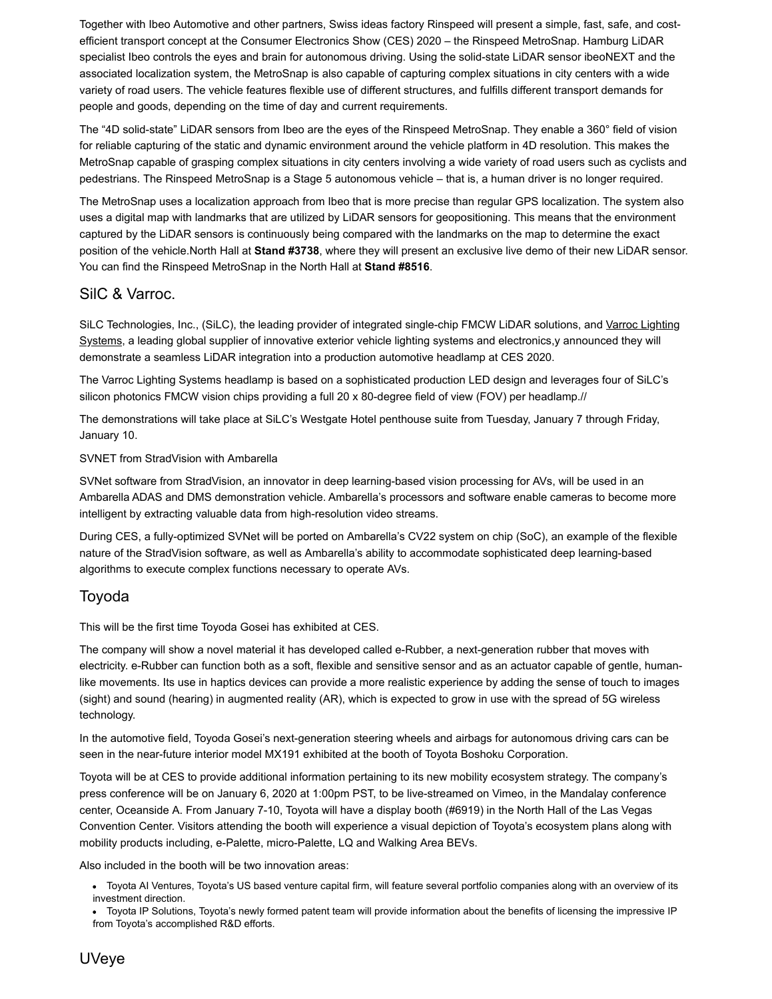Together with Ibeo Automotive and other partners, Swiss ideas factory Rinspeed will present a simple, fast, safe, and costefficient transport concept at the Consumer Electronics Show (CES) 2020 – the Rinspeed MetroSnap. Hamburg LiDAR specialist Ibeo controls the eyes and brain for autonomous driving. Using the solid-state LiDAR sensor ibeoNEXT and the associated localization system, the MetroSnap is also capable of capturing complex situations in city centers with a wide variety of road users. The vehicle features flexible use of different structures, and fulfills different transport demands for people and goods, depending on the time of day and current requirements.

The "4D solid-state" LiDAR sensors from Ibeo are the eyes of the Rinspeed MetroSnap. They enable a 360° field of vision for reliable capturing of the static and dynamic environment around the vehicle platform in 4D resolution. This makes the MetroSnap capable of grasping complex situations in city centers involving a wide variety of road users such as cyclists and pedestrians. The Rinspeed MetroSnap is a Stage 5 autonomous vehicle – that is, a human driver is no longer required.

The MetroSnap uses a localization approach from Ibeo that is more precise than regular GPS localization. The system also uses a digital map with landmarks that are utilized by LiDAR sensors for geopositioning. This means that the environment captured by the LiDAR sensors is continuously being compared with the landmarks on the map to determine the exact position of the vehicle.North Hall at **Stand #3738**, where they will present an exclusive live demo of their new LiDAR sensor. You can find the Rinspeed MetroSnap in the North Hall at **Stand #8516**.

### SilC & Varroc.

SiLC Technologies, Inc., (SiLC), the leading provider of integrated single-chip FMCW LiDAR solutions, and Varroc Lighting Systems, a leading global supplier of innovative exterior vehicle lighting systems and electronics, y announced they will demonstrate a seamless LiDAR integration into a production automotive headlamp at CES 2020.

The Varroc Lighting Systems headlamp is based on a sophisticated production LED design and leverages four of SiLC's silicon photonics FMCW vision chips providing a full 20 x 80-degree field of view (FOV) per headlamp.//

The demonstrations will take place at SiLC's Westgate Hotel penthouse suite from Tuesday, January 7 through Friday, January 10.

#### SVNET from StradVision with Ambarella

SVNet software from StradVision, an innovator in deep learning-based vision processing for AVs, will be used in an Ambarella ADAS and DMS demonstration vehicle. Ambarella's processors and software enable cameras to become more intelligent by extracting valuable data from high-resolution video streams.

During CES, a fully-optimized SVNet will be ported on Ambarella's CV22 system on chip (SoC), an example of the flexible nature of the StradVision software, as well as Ambarella's ability to accommodate sophisticated deep learning-based algorithms to execute complex functions necessary to operate AVs.

## Toyoda

This will be the first time Toyoda Gosei has exhibited at CES.

The company will show a novel material it has developed called e-Rubber, a next-generation rubber that moves with electricity. e-Rubber can function both as a soft, flexible and sensitive sensor and as an actuator capable of gentle, humanlike movements. Its use in haptics devices can provide a more realistic experience by adding the sense of touch to images (sight) and sound (hearing) in augmented reality (AR), which is expected to grow in use with the spread of 5G wireless technology.

In the automotive field, Toyoda Gosei's next-generation steering wheels and airbags for autonomous driving cars can be seen in the near-future interior model MX191 exhibited at the booth of Toyota Boshoku Corporation.

Toyota will be at CES to provide additional information pertaining to its new mobility ecosystem strategy. The company's press conference will be on January 6, 2020 at 1:00pm PST, to be live-streamed on Vimeo, in the Mandalay conference center, Oceanside A. From January 7-10, Toyota will have a display booth (#6919) in the North Hall of the Las Vegas Convention Center. Visitors attending the booth will experience a visual depiction of Toyota's ecosystem plans along with mobility products including, e-Palette, micro-Palette, LQ and Walking Area BEVs.

Also included in the booth will be two innovation areas:

- Toyota AI Ventures, Toyota's US based venture capital firm, will feature several portfolio companies along with an overview of its investment direction.
- Toyota IP Solutions, Toyota's newly formed patent team will provide information about the benefits of licensing the impressive IP from Toyota's accomplished R&D efforts.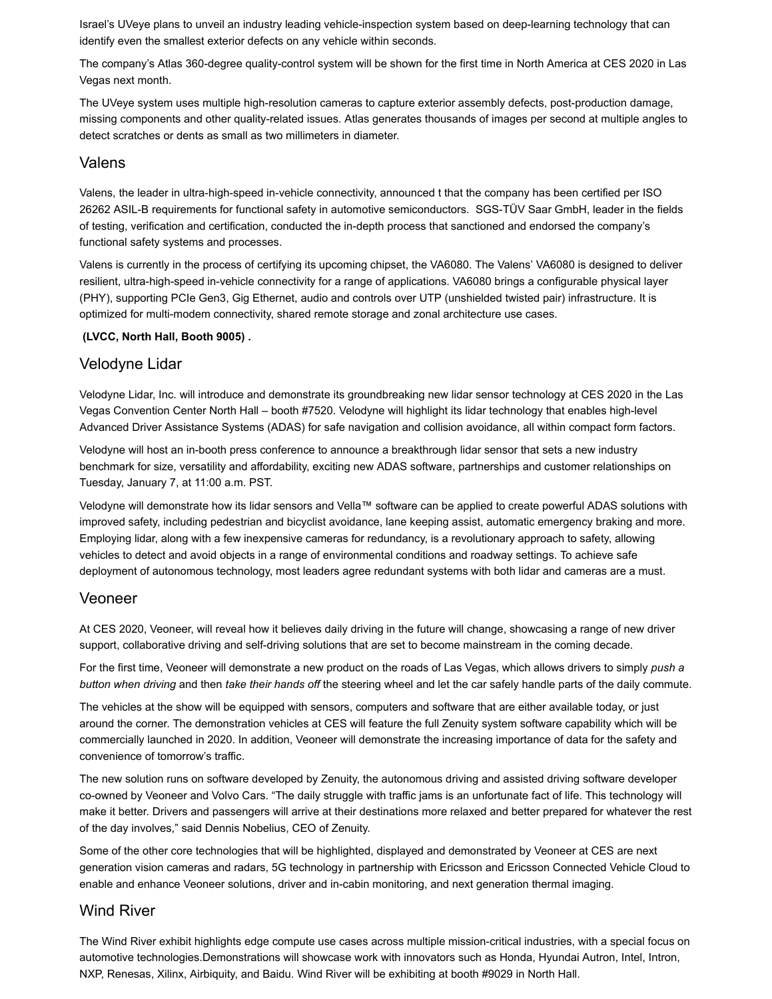Israel's UVeye plans to unveil an industry leading vehicle-inspection system based on deep-learning technology that can identify even the smallest exterior defects on any vehicle within seconds.

The company's Atlas 360-degree quality-control system will be shown for the first time in North America at CES 2020 in Las Vegas next month.

The UVeye system uses multiple high-resolution cameras to capture exterior assembly defects, post-production damage, missing components and other quality-related issues. Atlas generates thousands of images per second at multiple angles to detect scratches or dents as small as two millimeters in diameter.

#### Valens

Valens, the leader in ultra-high-speed in-vehicle connectivity, announced t that the company has been certified per ISO 26262 ASIL-B requirements for functional safety in automotive semiconductors. SGS-TÜV Saar GmbH, leader in the fields of testing, verification and certification, conducted the in-depth process that sanctioned and endorsed the company's functional safety systems and processes.

Valens is currently in the process of certifying its upcoming chipset, the VA6080. The Valens' VA6080 is designed to deliver resilient, ultra-high-speed in-vehicle connectivity for a range of applications. VA6080 brings a configurable physical layer (PHY), supporting PCIe Gen3, Gig Ethernet, audio and controls over UTP (unshielded twisted pair) infrastructure. It is optimized for multi-modem connectivity, shared remote storage and zonal architecture use cases.

#### **(LVCC, North Hall, Booth 9005) .**

#### Velodyne Lidar

Velodyne Lidar, Inc. will introduce and demonstrate its groundbreaking new lidar sensor technology at CES 2020 in the Las Vegas Convention Center North Hall – booth #7520. Velodyne will highlight its lidar technology that enables high-level Advanced Driver Assistance Systems (ADAS) for safe navigation and collision avoidance, all within compact form factors.

Velodyne will host an in-booth press conference to announce a breakthrough lidar sensor that sets a new industry benchmark for size, versatility and affordability, exciting new ADAS software, partnerships and customer relationships on Tuesday, January 7, at 11:00 a.m. PST.

Velodyne will demonstrate how its lidar sensors and Vella™ software can be applied to create powerful ADAS solutions with improved safety, including pedestrian and bicyclist avoidance, lane keeping assist, automatic emergency braking and more. Employing lidar, along with a few inexpensive cameras for redundancy, is a revolutionary approach to safety, allowing vehicles to detect and avoid objects in a range of environmental conditions and roadway settings. To achieve safe deployment of autonomous technology, most leaders agree redundant systems with both lidar and cameras are a must.

#### Veoneer

At CES 2020, Veoneer, will reveal how it believes daily driving in the future will change, showcasing a range of new driver support, collaborative driving and self-driving solutions that are set to become mainstream in the coming decade.

For the first time, Veoneer will demonstrate a new product on the roads of Las Vegas, which allows drivers to simply *push a button when driving* and then *take their hands off* the steering wheel and let the car safely handle parts of the daily commute.

The vehicles at the show will be equipped with sensors, computers and software that are either available today, or just around the corner. The demonstration vehicles at CES will feature the full Zenuity system software capability which will be commercially launched in 2020. In addition, Veoneer will demonstrate the increasing importance of data for the safety and convenience of tomorrow's traffic.

The new solution runs on software developed by Zenuity, the autonomous driving and assisted driving software developer co-owned by Veoneer and Volvo Cars. "The daily struggle with traffic jams is an unfortunate fact of life. This technology will make it better. Drivers and passengers will arrive at their destinations more relaxed and better prepared for whatever the rest of the day involves," said Dennis Nobelius, CEO of Zenuity.

Some of the other core technologies that will be highlighted, displayed and demonstrated by Veoneer at CES are next generation vision cameras and radars, 5G technology in partnership with Ericsson and Ericsson Connected Vehicle Cloud to enable and enhance Veoneer solutions, driver and in-cabin monitoring, and next generation thermal imaging.

#### Wind River

The Wind River exhibit highlights edge compute use cases across multiple mission-critical industries, with a special focus on automotive technologies.Demonstrations will showcase work with innovators such as Honda, Hyundai Autron, Intel, Intron, NXP, Renesas, Xilinx, Airbiquity, and Baidu. Wind River will be exhibiting at booth #9029 in North Hall.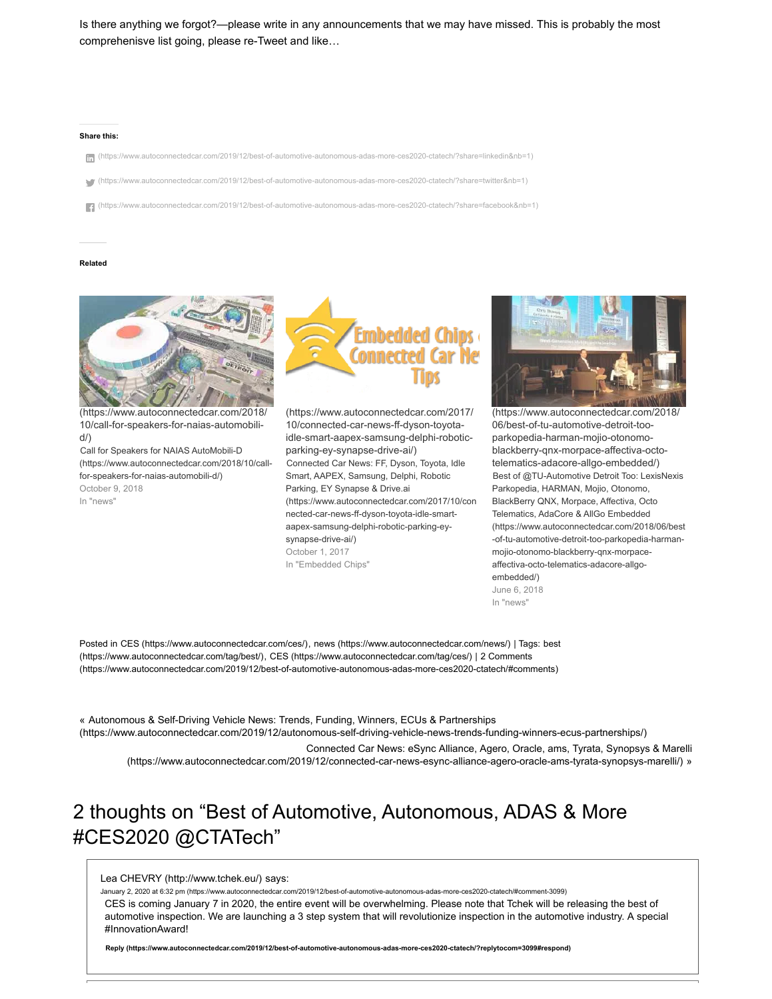Is there anything we forgot?—please write in any announcements that we may have missed. This is probably the most comprehenisve list going, please re-Tweet and like…

#### **Share this:**

- [n] [\(https://www.autoconnectedcar.com/2019/12/best-of-automotive-autonomous-adas-more-ces2020-ctatech/?share=linkedin&nb=1\)](https://www.autoconnectedcar.com/2019/12/best-of-automotive-autonomous-adas-more-ces2020-ctatech/?share=linkedin&nb=1)
- [\(https://www.autoconnectedcar.com/2019/12/best-of-automotive-autonomous-adas-more-ces2020-ctatech/?share=twitter&nb=1\)](https://www.autoconnectedcar.com/2019/12/best-of-automotive-autonomous-adas-more-ces2020-ctatech/?share=twitter&nb=1)

 [\(https://www.autoconnectedcar.com/2019/12/best-of-automotive-autonomous-adas-more-ces2020-ctatech/?share=facebook&nb=1\)](https://www.autoconnectedcar.com/2019/12/best-of-automotive-autonomous-adas-more-ces2020-ctatech/?share=facebook&nb=1)

#### **Related**



[\(https://www.autoconnectedcar.com/2018/](https://www.autoconnectedcar.com/2018/10/call-for-speakers-for-naias-automobili-d/) 10/call-for-speakers-for-naias-automobili $d/$ 

Call for Speakers for NAIAS AutoMobili-D [\(https://www.autoconnectedcar.com/2018/10/call](https://www.autoconnectedcar.com/2018/10/call-for-speakers-for-naias-automobili-d/)for-speakers-for-naias-automobili-d/) October 9, 2018 In "news"



[\(https://www.autoconnectedcar.com/2017/](https://www.autoconnectedcar.com/2017/10/connected-car-news-ff-dyson-toyota-idle-smart-aapex-samsung-delphi-robotic-parking-ey-synapse-drive-ai/) 10/connected-car-news-ff-dyson-toyotaidle-smart-aapex-samsung-delphi-roboticparking-ey-synapse-drive-ai/) Connected Car News: FF, Dyson, Toyota, Idle Smart, AAPEX, Samsung, Delphi, Robotic Parking, EY Synapse & Drive.ai [\(https://www.autoconnectedcar.com/2017/10/con](https://www.autoconnectedcar.com/2017/10/connected-car-news-ff-dyson-toyota-idle-smart-aapex-samsung-delphi-robotic-parking-ey-synapse-drive-ai/) nected-car-news-ff-dyson-toyota-idle-smartaapex-samsung-delphi-robotic-parking-eysynapse-drive-ai/) October 1, 2017 In "Embedded Chips"



[\(https://www.autoconnectedcar.com/2018/](https://www.autoconnectedcar.com/2018/06/best-of-tu-automotive-detroit-too-parkopedia-harman-mojio-otonomo-blackberry-qnx-morpace-affectiva-octo-telematics-adacore-allgo-embedded/) 06/best-of-tu-automotive-detroit-tooparkopedia-harman-mojio-otonomoblackberry-qnx-morpace-affectiva-octotelematics-adacore-allgo-embedded/) Best of @TU-Automotive Detroit Too: LexisNexis Parkopedia, HARMAN, Mojio, Otonomo, BlackBerry QNX, Morpace, Affectiva, Octo Telematics, AdaCore & AllGo Embedded [\(https://www.autoconnectedcar.com/2018/06/best](https://www.autoconnectedcar.com/2018/06/best-of-tu-automotive-detroit-too-parkopedia-harman-mojio-otonomo-blackberry-qnx-morpace-affectiva-octo-telematics-adacore-allgo-embedded/) -of-tu-automotive-detroit-too-parkopedia-harmanmojio-otonomo-blackberry-qnx-morpaceaffectiva-octo-telematics-adacore-allgoembedded/) June 6, 2018

In "news"

Posted in CES [\(https://www.autoconnectedcar.com/ces/\)](https://www.autoconnectedcar.com/ces/), news [\(https://www.autoconnectedcar.com/news/\)](https://www.autoconnectedcar.com/news/) | Tags: best [\(https://www.autoconnectedcar.com/tag/best/\),](https://www.autoconnectedcar.com/tag/best/) CES [\(https://www.autoconnectedcar.com/tag/ces/\)](https://www.autoconnectedcar.com/tag/ces/) | 2 Comments [\(https://www.autoconnectedcar.com/2019/12/best-of-automotive-autonomous-adas-more-ces2020-ctatech/#comments\)](#page-9-0)

« Autonomous & Self-Driving Vehicle News: Trends, Funding, Winners, ECUs & Partnerships [\(https://www.autoconnectedcar.com/2019/12/autonomous-self-driving-vehicle-news-trends-funding-winners-ecus-partnerships/\)](https://www.autoconnectedcar.com/2019/12/autonomous-self-driving-vehicle-news-trends-funding-winners-ecus-partnerships/) Connected Car News: eSync Alliance, Agero, Oracle, ams, Tyrata, Synopsys & Marelli

[\(https://www.autoconnectedcar.com/2019/12/connected-car-news-esync-alliance-agero-oracle-ams-tyrata-synopsys-marelli/\) »](https://www.autoconnectedcar.com/2019/12/connected-car-news-esync-alliance-agero-oracle-ams-tyrata-synopsys-marelli/)

# <span id="page-9-0"></span>2 thoughts on "Best of Automotive, Autonomous, ADAS & More #CES2020 @CTATech"

<span id="page-9-1"></span>[Lea CHEVRY \(http://www.tchek.eu/\)](http://www.tchek.eu/) says:

[January 2, 2020 at 6:32 pm \(https://www.autoconnectedcar.com/2019/12/best-of-automotive-autonomous-adas-more-ces2020-ctatech/#comment-3099\)](#page-9-1)

CES is coming January 7 in 2020, the entire event will be overwhelming. Please note that Tchek will be releasing the best of automotive inspection. We are launching a 3 step system that will revolutionize inspection in the automotive industry. A special #InnovationAward!

**[Reply \(https://www.autoconnectedcar.com/2019/12/best-of-automotive-autonomous-adas-more-ces2020-ctatech/?replytocom=3099#respond\)](https://www.autoconnectedcar.com/2019/12/best-of-automotive-autonomous-adas-more-ces2020-ctatech/?replytocom=3099#respond)**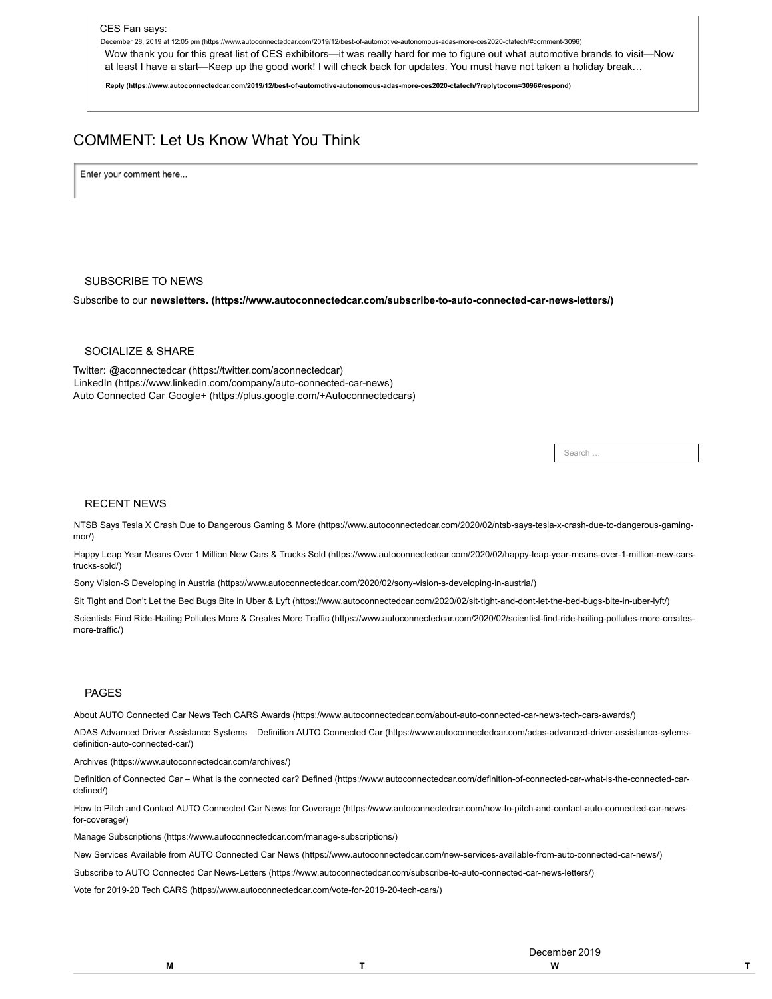<span id="page-10-0"></span>[December 28, 2019 at 12:05 pm \(https://www.autoconnectedcar.com/2019/12/best-of-automotive-autonomous-adas-more-ces2020-ctatech/#comment-3096\)](#page-10-0)

Wow thank you for this great list of CES exhibitors—it was really hard for me to figure out what automotive brands to visit—Now at least I have a start—Keep up the good work! I will check back for updates. You must have not taken a holiday break…

**[Reply \(https://www.autoconnectedcar.com/2019/12/best-of-automotive-autonomous-adas-more-ces2020-ctatech/?replytocom=3096#respond\)](https://www.autoconnectedcar.com/2019/12/best-of-automotive-autonomous-adas-more-ces2020-ctatech/?replytocom=3096#respond)**

## COMMENT: Let Us Know What You Think

Enter your comment here...

#### SUBSCRIBE TO NEWS

Subscribe to our **[newsletters. \(https://www.autoconnectedcar.com/subscribe-to-auto-connected-car-news-letters/\)](https://www.autoconnectedcar.com/subscribe-to-auto-connected-car-news-letters/)**

#### SOCIALIZE & SHARE

Twitter: [@aconnectedcar \(https://twitter.com/aconnectedcar\)](https://twitter.com/aconnectedcar) [LinkedIn \(https://www.linkedin.com/company/auto-connected-car-news\)](https://www.linkedin.com/company/auto-connected-car-news) Auto Connected Car [Google+ \(https://plus.google.com/+Autoconnectedcars\)](https://plus.google.com/+Autoconnectedcars)

**Search** 

#### RECENT NEWS

[NTSB Says Tesla X Crash Due to Dangerous Gaming & More \(https://www.autoconnectedcar.com/2020/02/ntsb-says-tesla-x-crash-due-to-dangerous-gaming](https://www.autoconnectedcar.com/2020/02/ntsb-says-tesla-x-crash-due-to-dangerous-gaming-mor/)mor/)

[Happy Leap Year Means Over 1 Million New Cars & Trucks Sold \(https://www.autoconnectedcar.com/2020/02/happy-leap-year-means-over-1-million-new-cars](https://www.autoconnectedcar.com/2020/02/happy-leap-year-means-over-1-million-new-cars-trucks-sold/)trucks-sold/)

[Sony Vision-S Developing in Austria \(https://www.autoconnectedcar.com/2020/02/sony-vision-s-developing-in-austria/\)](https://www.autoconnectedcar.com/2020/02/sony-vision-s-developing-in-austria/)

[Sit Tight and Don't Let the Bed Bugs Bite in Uber & Lyft \(https://www.autoconnectedcar.com/2020/02/sit-tight-and-dont-let-the-bed-bugs-bite-in-uber-lyft/\)](https://www.autoconnectedcar.com/2020/02/sit-tight-and-dont-let-the-bed-bugs-bite-in-uber-lyft/)

[Scientists Find Ride-Hailing Pollutes More & Creates More Traffic \(https://www.autoconnectedcar.com/2020/02/scientist-find-ride-hailing-pollutes-more-creates](https://www.autoconnectedcar.com/2020/02/scientist-find-ride-hailing-pollutes-more-creates-more-traffic/)more-traffic/)

#### PAGES

[About AUTO Connected Car News Tech CARS Awards \(https://www.autoconnectedcar.com/about-auto-connected-car-news-tech-cars-awards/\)](https://www.autoconnectedcar.com/about-auto-connected-car-news-tech-cars-awards/)

[ADAS Advanced Driver Assistance Systems – Definition AUTO Connected Car \(https://www.autoconnectedcar.com/adas-advanced-driver-assistance-sytems](https://www.autoconnectedcar.com/adas-advanced-driver-assistance-sytems-definition-auto-connected-car/)definition-auto-connected-car/)

[Archives \(https://www.autoconnectedcar.com/archives/\)](https://www.autoconnectedcar.com/archives/)

[Definition of Connected Car – What is the connected car? Defined \(https://www.autoconnectedcar.com/definition-of-connected-car-what-is-the-connected-car](https://www.autoconnectedcar.com/definition-of-connected-car-what-is-the-connected-car-defined/)defined/)

[How to Pitch and Contact AUTO Connected Car News for Coverage \(https://www.autoconnectedcar.com/how-to-pitch-and-contact-auto-connected-car-news](https://www.autoconnectedcar.com/how-to-pitch-and-contact-auto-connected-car-news-for-coverage/)for-coverage/)

[Manage Subscriptions \(https://www.autoconnectedcar.com/manage-subscriptions/\)](https://www.autoconnectedcar.com/manage-subscriptions/)

[New Services Available from AUTO Connected Car News \(https://www.autoconnectedcar.com/new-services-available-from-auto-connected-car-news/\)](https://www.autoconnectedcar.com/new-services-available-from-auto-connected-car-news/)

[Subscribe to AUTO Connected Car News-Letters \(https://www.autoconnectedcar.com/subscribe-to-auto-connected-car-news-letters/\)](https://www.autoconnectedcar.com/subscribe-to-auto-connected-car-news-letters/)

[Vote for 2019-20 Tech CARS \(https://www.autoconnectedcar.com/vote-for-2019-20-tech-cars/\)](https://www.autoconnectedcar.com/vote-for-2019-20-tech-cars/)

/